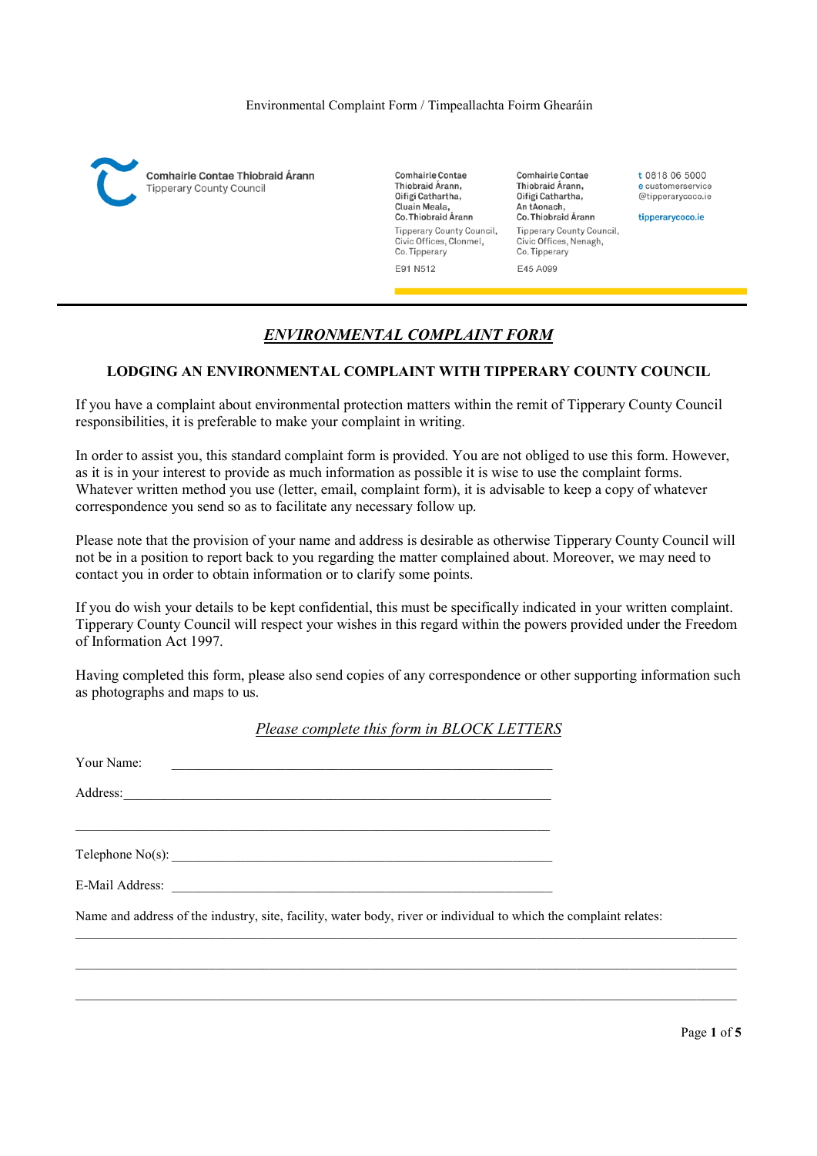

**Comhairle Contae** Thiobraid Árann, Oifigí Cathartha, Cluain Meala. Co. Thiobraid Árann Tipperary County Council, Civic Offices, Clonmel, Co. Tipperary E91 N512

**Comhairle Contae** Thiobraid Árann, Oifigí Cathartha, An tAonach. Co. Thiobraid Árann Tipperary County Council, Civic Offices, Nenagh, Co. Tipperary E45 A099

t 0818 06 5000 e customerservice @tipperarycoco.ie

tipperarycoco.ie

# ENVIRONMENTAL COMPLAINT FORM

### LODGING AN ENVIRONMENTAL COMPLAINT WITH TIPPERARY COUNTY COUNCIL

If you have a complaint about environmental protection matters within the remit of Tipperary County Council responsibilities, it is preferable to make your complaint in writing.

In order to assist you, this standard complaint form is provided. You are not obliged to use this form. However, as it is in your interest to provide as much information as possible it is wise to use the complaint forms. Whatever written method you use (letter, email, complaint form), it is advisable to keep a copy of whatever correspondence you send so as to facilitate any necessary follow up.

Please note that the provision of your name and address is desirable as otherwise Tipperary County Council will not be in a position to report back to you regarding the matter complained about. Moreover, we may need to contact you in order to obtain information or to clarify some points.

If you do wish your details to be kept confidential, this must be specifically indicated in your written complaint. Tipperary County Council will respect your wishes in this regard within the powers provided under the Freedom of Information Act 1997.

Having completed this form, please also send copies of any correspondence or other supporting information such as photographs and maps to us.

Please complete this form in BLOCK LETTERS

| Your Name:<br><u> 1989 - Johann Stein, mars an deus Amerikaansk kommunister (</u>                                 |  |
|-------------------------------------------------------------------------------------------------------------------|--|
|                                                                                                                   |  |
|                                                                                                                   |  |
| Telephone $No(s)$ :                                                                                               |  |
|                                                                                                                   |  |
| Name and address of the industry, site, facility, water body, river or individual to which the complaint relates: |  |
|                                                                                                                   |  |
|                                                                                                                   |  |

Page 1 of 5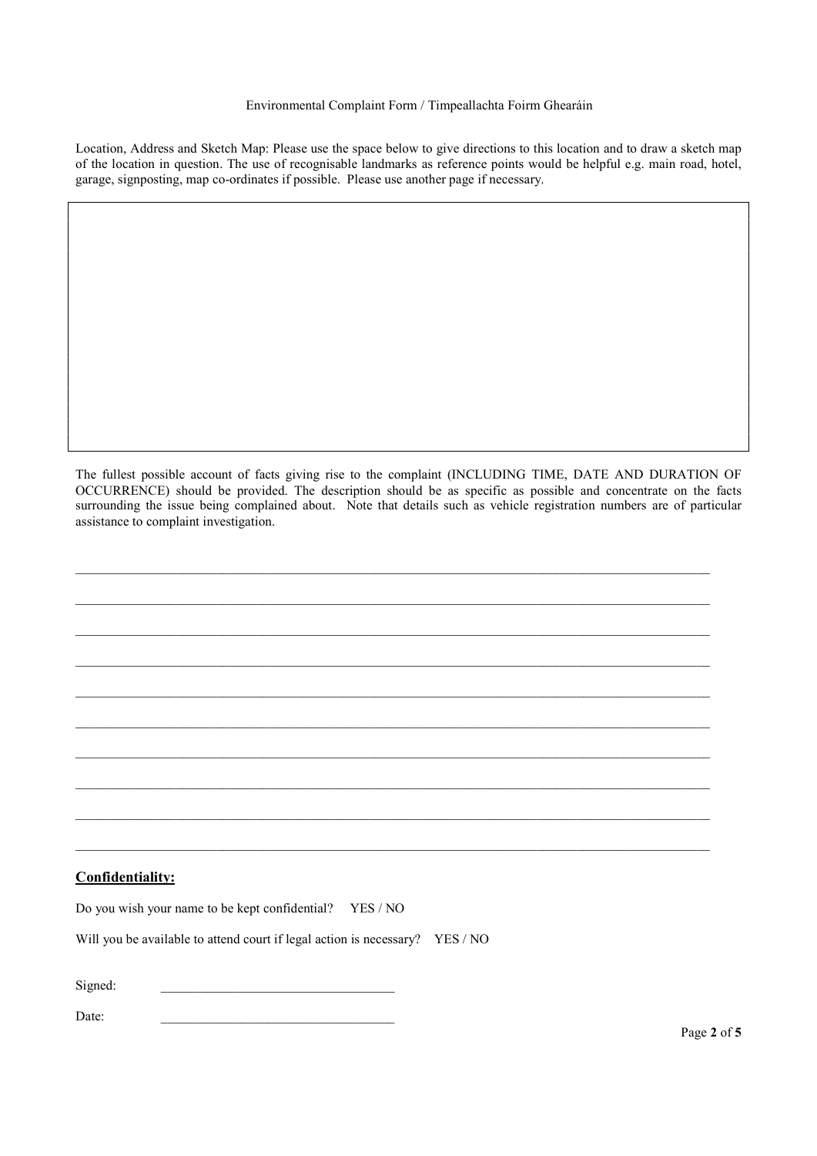#### Environmental Complaint Form / Timpeallachta Foirm Ghearáin

Location, Address and Sketch Map: Please use the space below to give directions to this location and to draw a sketch map of the location in question. The use of recognisable landmarks as reference points would be helpful e.g. main road, hotel, garage, signposting, map co-ordinates if possible. Please use another page if necessary.

The fullest possible account of facts giving rise to the complaint (INCLUDING TIME, DATE AND DURATION OF OCCURRENCE) should be provided. The description should be as specific as possible and concentrate on the facts surrounding the issue being complained about. Note that details such as vehicle registration numbers are of particular assistance to complaint investigation.

 $\mathcal{L}_\mathcal{L} = \mathcal{L}_\mathcal{L}$ 

 $\_$  , and the set of the set of the set of the set of the set of the set of the set of the set of the set of the set of the set of the set of the set of the set of the set of the set of the set of the set of the set of th

 $\_$  , and the set of the set of the set of the set of the set of the set of the set of the set of the set of the set of the set of the set of the set of the set of the set of the set of the set of the set of the set of th

 $\mathcal{L}_\mathcal{L} = \mathcal{L}_\mathcal{L}$ 

 $\mathcal{L}_\mathcal{L} = \mathcal{L}_\mathcal{L}$ 

 $\_$  , and the set of the set of the set of the set of the set of the set of the set of the set of the set of the set of the set of the set of the set of the set of the set of the set of the set of the set of the set of th

 $\_$  , and the set of the set of the set of the set of the set of the set of the set of the set of the set of the set of the set of the set of the set of the set of the set of the set of the set of the set of the set of th

### Confidentiality:

| Do you wish your name to be kept confidential? YES / NO |  |
|---------------------------------------------------------|--|
|---------------------------------------------------------|--|

Will you be available to attend court if legal action is necessary? YES / NO

Signed:

 $Date:$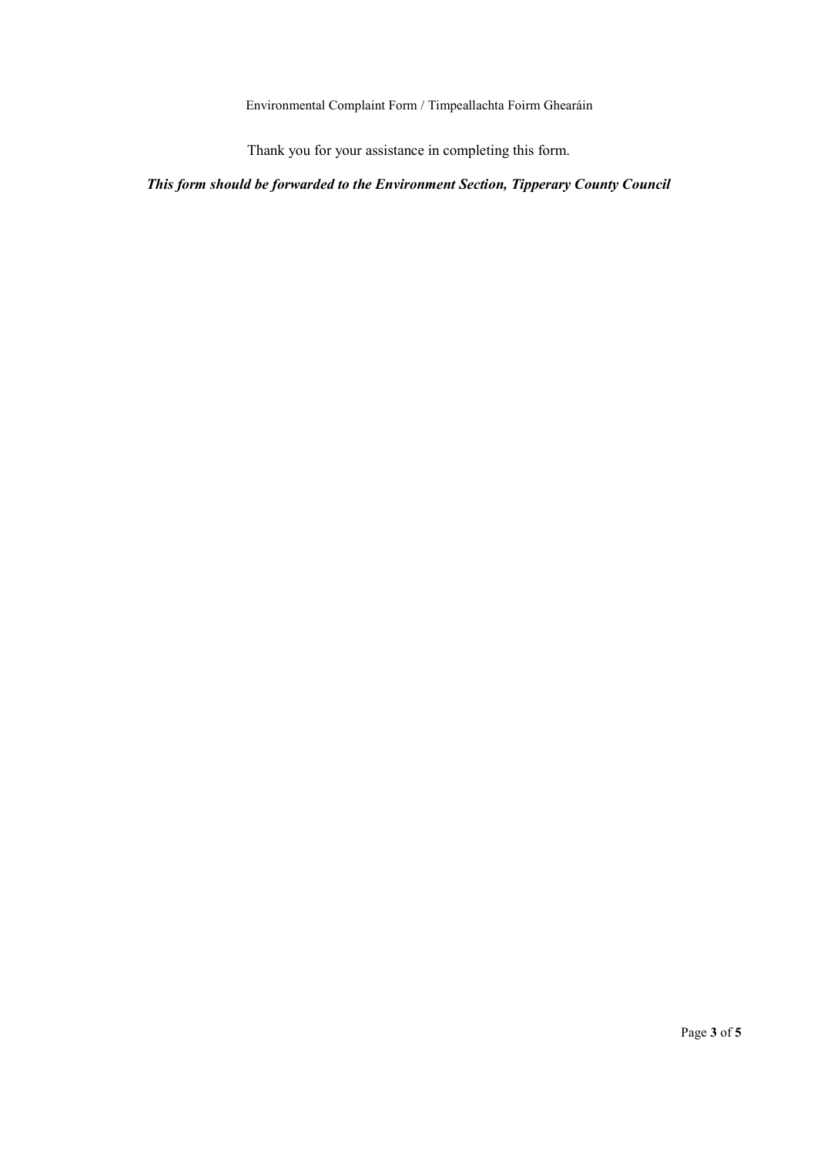Environmental Complaint Form / Timpeallachta Foirm Ghearáin

Thank you for your assistance in completing this form.

This form should be forwarded to the Environment Section, Tipperary County Council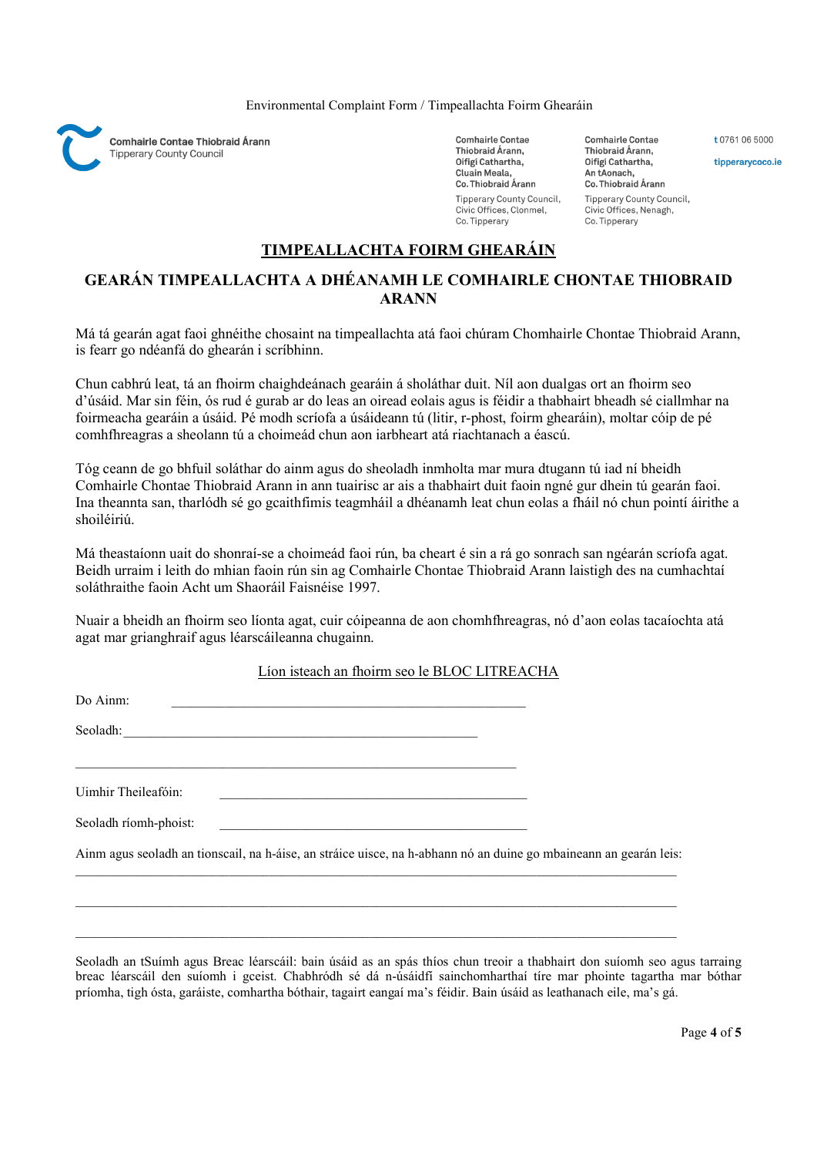Environmental Complaint Form / Timpeallachta Foirm Ghearáin



**Comhairle Contae** Thiobraid Árann, Oifigí Cathartha, Cluain Meala, Co. Thiobraid Árann Tipperary County Council, Civic Offices, Clonmel. Co. Tipperary

Thiobraid Árann, Oifigí Cathartha, An tAonach, Co. Thiobraid Árann Tipperary County Council, Civic Offices, Nenagh, Co. Tipperary

**Comhairle Contae** 

# TIMPEALLACHTA FOIRM GHEARÁIN

## GEARÁN TIMPEALLACHTA A DHÉANAMH LE COMHAIRLE CHONTAE THIOBRAID ARANN

Má tá gearán agat faoi ghnéithe chosaint na timpeallachta atá faoi chúram Chomhairle Chontae Thiobraid Arann, is fearr go ndéanfá do ghearán i scríbhinn.

Chun cabhrú leat, tá an fhoirm chaighdeánach gearáin á sholáthar duit. Níl aon dualgas ort an fhoirm seo d'úsáid. Mar sin féin, ós rud é gurab ar do leas an oiread eolais agus is féidir a thabhairt bheadh sé ciallmhar na foirmeacha gearáin a úsáid. Pé modh scríofa a úsáideann tú (litir, r-phost, foirm ghearáin), moltar cóip de pé comhfhreagras a sheolann tú a choimeád chun aon iarbheart atá riachtanach a éascú.

Tóg ceann de go bhfuil soláthar do ainm agus do sheoladh inmholta mar mura dtugann tú iad ní bheidh Comhairle Chontae Thiobraid Arann in ann tuairisc ar ais a thabhairt duit faoin ngné gur dhein tú gearán faoi. Ina theannta san, tharlódh sé go gcaithfimis teagmháil a dhéanamh leat chun eolas a fháil nó chun pointí áirithe a shoiléiriú.

Má theastaíonn uait do shonraí-se a choimeád faoi rún, ba cheart é sin a rá go sonrach san ngéarán scríofa agat. Beidh urraim i leith do mhian faoin rún sin ag Comhairle Chontae Thiobraid Arann laistigh des na cumhachtaí soláthraithe faoin Acht um Shaoráil Faisnéise 1997.

Nuair a bheidh an fhoirm seo líonta agat, cuir cóipeanna de aon chomhfhreagras, nó d'aon eolas tacaíochta atá agat mar grianghraif agus léarscáileanna chugainn.

### Líon isteach an fhoirm seo le BLOC LITREACHA

| Do Ainm:<br>the control of the control of the control of the control of the control of the control of the control of the control of the control of the control of the control of the control of the control of the control of the control |  |
|-------------------------------------------------------------------------------------------------------------------------------------------------------------------------------------------------------------------------------------------|--|
| Seoladh: <u>Charles and Charles and Charles and Charles and Charles and Charles and Charles and Charles and Charles and Charles and Charles and Charles and Charles and Charles and Charles and Charles and Charles and Charles </u>      |  |
|                                                                                                                                                                                                                                           |  |
| Uimhir Theileafóin:<br><u> 2000 - Jan James James Jan James James James James James James James James James James James James James Jam</u>                                                                                               |  |
| Seoladh ríomh-phoist:                                                                                                                                                                                                                     |  |
| Ainm agus seoladh an tionscail, na h-áise, an stráice uisce, na h-abhann nó an duine go mbaineann an gearán leis:                                                                                                                         |  |
|                                                                                                                                                                                                                                           |  |
|                                                                                                                                                                                                                                           |  |

Seoladh an tSuímh agus Breac léarscáil: bain úsáid as an spás thíos chun treoir a thabhairt don suíomh seo agus tarraing breac léarscáil den suíomh i gceist. Chabhródh sé dá n-úsáidfí sainchomharthaí tíre mar phointe tagartha mar bóthar príomha, tigh ósta, garáiste, comhartha bóthair, tagairt eangaí ma's féidir. Bain úsáid as leathanach eile, ma's gá.

t 0761 06 5000

tipperarycoco.ie